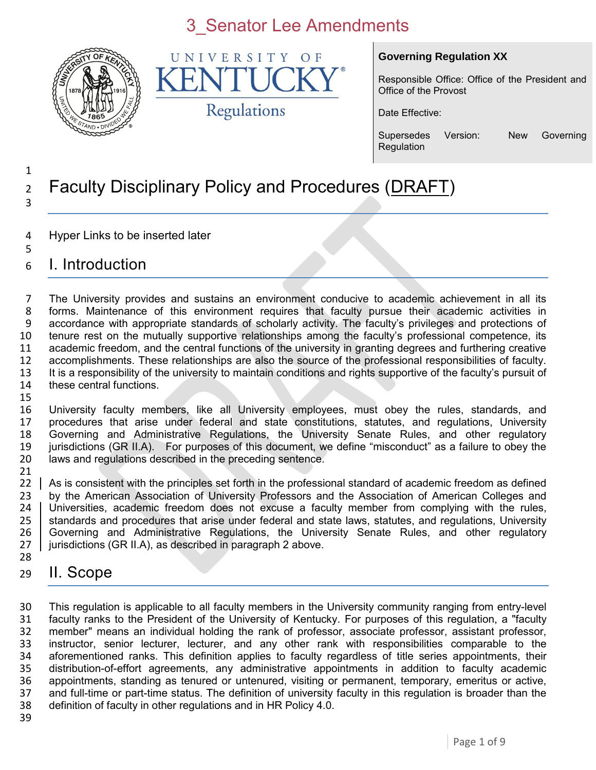

UNIVERSITY  $\Omega$  F K Regulations

#### **Governing Regulation XX**

Responsible Office: Office of the President and Office of the Provost

Date Effective:

Supersedes Version: New Governing **Regulation** 

#### Faculty Disciplinary Policy and Procedures (DRAFT)

- Hyper Links to be inserted later
- I. Introduction

 The University provides and sustains an environment conducive to academic achievement in all its forms. Maintenance of this environment requires that faculty pursue their academic activities in accordance with appropriate standards of scholarly activity. The faculty's privileges and protections of tenure rest on the mutually supportive relationships among the faculty's professional competence, its academic freedom, and the central functions of the university in granting degrees and furthering creative accomplishments. These relationships are also the source of the professional responsibilities of faculty. It is a responsibility of the university to maintain conditions and rights supportive of the faculty's pursuit of these central functions. 

 University faculty members, like all University employees, must obey the rules, standards, and procedures that arise under federal and state constitutions, statutes, and regulations, University Governing and Administrative Regulations, the University Senate Rules, and other regulatory jurisdictions (GR II.A). For purposes of this document, we define "misconduct" as a failure to obey the laws and regulations described in the preceding sentence.

21<br>22 As is consistent with the principles set forth in the professional standard of academic freedom as defined by the American Association of University Professors and the Association of American Colleges and 24 Universities, academic freedom does not excuse a faculty member from complying with the rules, 25 Standards and procedures that arise under federal and state laws, statutes, and regulations, University 26 Governing and Administrative Regulations, the University Senate Rules, and other regulatory<br>27 jurisdictions (GR II.A), as described in paragraph 2 above. jurisdictions (GR II.A), as described in paragraph 2 above.

### II. Scope

 This regulation is applicable to all faculty members in the University community ranging from entry-level faculty ranks to the President of the University of Kentucky. For purposes of this regulation, a "faculty member" means an individual holding the rank of professor, associate professor, assistant professor, instructor, senior lecturer, lecturer, and any other rank with responsibilities comparable to the aforementioned ranks. This definition applies to faculty regardless of title series appointments, their distribution-of-effort agreements, any administrative appointments in addition to faculty academic appointments, standing as tenured or untenured, visiting or permanent, temporary, emeritus or active, 37 and full-time or part-time status. The definition of university faculty in this regulation is broader than the 38 definition of faculty in other regulations and in HR Policy 4.0. definition of faculty in other regulations and in HR Policy 4.0.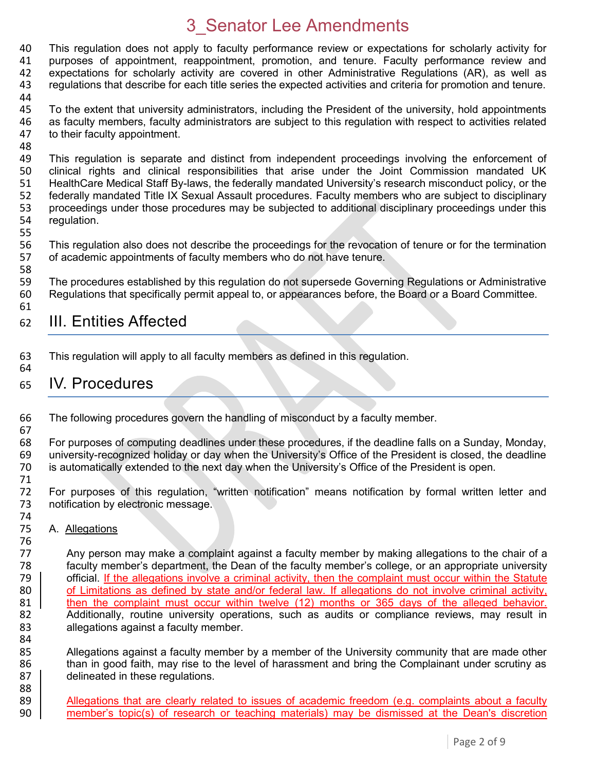40 This regulation does not apply to faculty performance review or expectations for scholarly activity for 41 purposes of appointment, reappointment, promotion, and tenure, Faculty performance review and 41 purposes of appointment, reappointment, promotion, and tenure. Faculty performance review and 42 expectations for scholarly activity are covered in other Administrative Regulations (AR), as well as 43 regulations that describe for each title series the expected activities and criteria for promotion and tenure. 44

- 45 To the extent that university administrators, including the President of the university, hold appointments 46 as faculty members, faculty administrators are subject to this regulation with respect to activities related 47 to their faculty appointment. to their faculty appointment.
- 48<br>49 49 This regulation is separate and distinct from independent proceedings involving the enforcement of 400 Clinical rights and clinical responsibilities that arise under the Joint Commission mandated UK clinical rights and clinical responsibilities that arise under the Joint Commission mandated UK 51 HealthCare Medical Staff By-laws, the federally mandated University's research misconduct policy, or the 52 federally mandated Title IX Sexual Assault procedures. Faculty members who are subject to disciplinary<br>53 proceedings under those procedures may be subjected to additional disciplinary proceedings under this 53 proceedings under those procedures may be subjected to additional disciplinary proceedings under this 54 requidation. regulation.
- 55

58

67

74<br>75

88

56 This regulation also does not describe the proceedings for the revocation of tenure or for the termination<br>57 of academic appointments of faculty members who do not have tenure. of academic appointments of faculty members who do not have tenure.

59 The procedures established by this regulation do not supersede Governing Regulations or Administrative 60 Regulations that specifically permit appeal to, or appearances before, the Board or a Board Committee. 61

### 62 III. Entities Affected

63 This regulation will apply to all faculty members as defined in this regulation. 64

#### 65 IV. Procedures

66 The following procedures govern the handling of misconduct by a faculty member.

68 For purposes of computing deadlines under these procedures, if the deadline falls on a Sunday, Monday, 69 university-recognized holiday or day when the University's Office of the President is closed, the deadline university-recognized holiday or day when the University's Office of the President is closed, the deadline 70 is automatically extended to the next day when the University's Office of the President is open.

71 For purposes of this regulation, "written notification" means notification by formal written letter and 73 notification by electronic message.

A. Allegations

76<br>77 Any person may make a complaint against a faculty member by making allegations to the chair of a 78 faculty member's department, the Dean of the faculty member's college, or an appropriate university 79 **official.** If the allegations involve a criminal activity, then the complaint must occur within the Statute 80 of Limitations as defined by state and/or federal law. If allegations do not involve criminal activity, 81 | then the complaint must occur within twelve (12) months or 365 days of the alleged behavior.<br>82 | Additionally, routine university operations, such as audits or compliance reviews, may result in 82 Additionally, routine university operations, such as audits or compliance reviews, may result in<br>83 allegations against a faculty member. allegations against a faculty member.

84<br>85 85 Allegations against a faculty member by a member of the University community that are made other<br>86 than in good faith, may rise to the level of harassment and bring the Complainant under scrutiny as than in good faith, may rise to the level of harassment and bring the Complainant under scrutiny as 87 delineated in these regulations.

89 | Allegations that are clearly related to issues of academic freedom (e.g. complaints about a faculty 90 member's topic(s) of research or teaching materials) may be dismissed at the Dean's discretion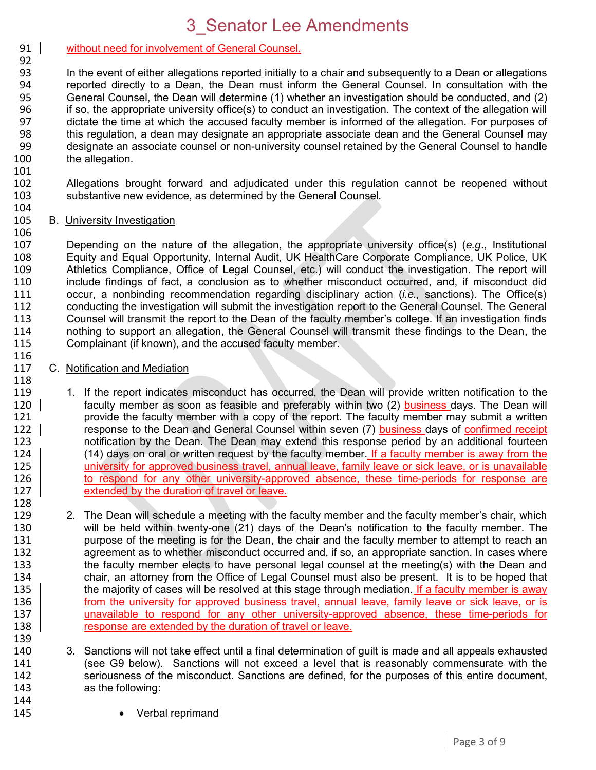#### 91 | without need for involvement of General Counsel. 92

93 In the event of either allegations reported initially to a chair and subsequently to a Dean or allegations 94 reported directly to a Dean, the Dean must inform the General Counsel. In consultation with the 95 General Counsel, the Dean will determine (1) whether an investigation should be conducted, and (2) 96 if so, the appropriate university office(s) to conduct an investigation. The context of the allegation will<br>97 dictate the time at which the accused faculty member is informed of the allegation. For purposes of 97 dictate the time at which the accused faculty member is informed of the allegation. For purposes of 98 this requilation, a dean may designate an appropriate associate dean and the General Counsel may 98 this regulation, a dean may designate an appropriate associate dean and the General Counsel may<br>99 designate an associate counsel or non-university counsel retained by the General Counsel to handle designate an associate counsel or non-university counsel retained by the General Counsel to handle 100 the allegation.

101 102 Allegations brought forward and adjudicated under this regulation cannot be reopened without 103 substantive new evidence, as determined by the General Counsel.

#### 104<br>105 **B.** University Investigation

106

116

 Depending on the nature of the allegation, the appropriate university office(s) (*e.g*., Institutional Equity and Equal Opportunity, Internal Audit, UK HealthCare Corporate Compliance, UK Police, UK Athletics Compliance, Office of Legal Counsel, etc.) will conduct the investigation. The report will include findings of fact, a conclusion as to whether misconduct occurred, and, if misconduct did occur, a nonbinding recommendation regarding disciplinary action (*i.e.,* sanctions). The Office(s) conducting the investigation will submit the investigation report to the General Counsel. The General 113 Counsel will transmit the report to the Dean of the faculty member's college. If an investigation finds<br>114 nothing to support an allegation, the General Counsel will transmit these findings to the Dean, the 114 nothing to support an allegation, the General Counsel will transmit these findings to the Dean, the 115 Complainant (if known), and the accused faculty member. Complainant (if known), and the accused faculty member.

### 117 C. Notification and Mediation 118<br>119

- 119 1. If the report indicates misconduct has occurred, the Dean will provide written notification to the 120 l<br>120 l 120 faculty member as soon as feasible and preferably within two (2) business days. The Dean will 120 | faculty member as soon as feasible and preferably within two (2) **business** days. The Dean will<br>121 http://www.provide the faculty member with a copy of the report. The faculty member may submit a written 121 provide the faculty member with a copy of the report. The faculty member may submit a written<br>122 | response to the Dean and General Counsel within seven (7) business days of confirmed receipt response to the Dean and General Counsel within seven (7) business days of confirmed receipt 123 notification by the Dean. The Dean may extend this response period by an additional fourteen 124 (14) days on oral or written request by the faculty member. If a faculty member is away from the<br>125 university for approved business travel, annual leave, family leave or sick leave, or is unavailable university for approved business travel, annual leave, family leave or sick leave, or is unavailable 126 to respond for any other university-approved absence, these time-periods for response are 127 **EXTED EXTER I** contract a location of travel or leave.
- 128<br>129 129 2. The Dean will schedule a meeting with the faculty member and the faculty member's chair, which<br>130 will be held within twenty-one (21) days of the Dean's notification to the faculty member. The 130 will be held within twenty-one (21) days of the Dean's notification to the faculty member. The<br>131 purpose of the meeting is for the Dean, the chair and the faculty member to attempt to reach an purpose of the meeting is for the Dean, the chair and the faculty member to attempt to reach an 132 agreement as to whether misconduct occurred and, if so, an appropriate sanction. In cases where 133 the faculty member elects to have personal legal counsel at the meeting(s) with the Dean and chair, an attorney from the Office of Legal Counsel must also be present. It is to be hoped that 135 | the majority of cases will be resolved at this stage through mediation. If a faculty member is away the majority of cases will be resolved at this stage through mediation. If a faculty member is away 136 from the university for approved business travel, annual leave, family leave or sick leave, or is 137 unavailable to respond for any other university-approved absence, these time-periods for 138 | response are extended by the duration of travel or leave. 139
- 140 3. Sanctions will not take effect until a final determination of guilt is made and all appeals exhausted 141 (see G9 below). Sanctions will not exceed a level that is reasonably commensurate with the 142 seriousness of the misconduct. Sanctions are defined, for the purposes of this entire document, 143 as the following: 144
- 145 **•** Verbal reprimand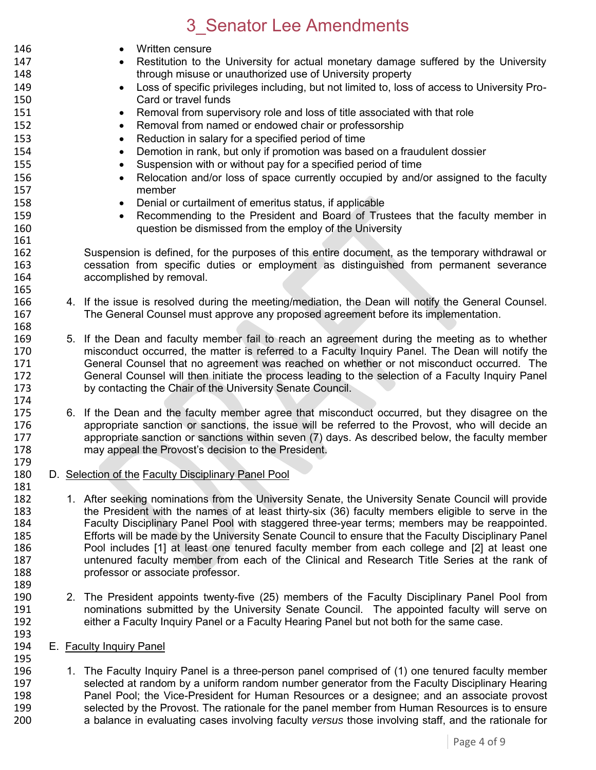| 146 |                          | Written censure                                                                                     |  |  |  |
|-----|--------------------------|-----------------------------------------------------------------------------------------------------|--|--|--|
| 147 |                          | Restitution to the University for actual monetary damage suffered by the University                 |  |  |  |
| 148 |                          | through misuse or unauthorized use of University property                                           |  |  |  |
| 149 |                          | Loss of specific privileges including, but not limited to, loss of access to University Pro-        |  |  |  |
| 150 |                          | Card or travel funds                                                                                |  |  |  |
| 151 |                          | Removal from supervisory role and loss of title associated with that role<br>$\bullet$              |  |  |  |
| 152 |                          | Removal from named or endowed chair or professorship<br>$\bullet$                                   |  |  |  |
| 153 |                          | Reduction in salary for a specified period of time<br>$\bullet$                                     |  |  |  |
|     |                          |                                                                                                     |  |  |  |
| 154 |                          | Demotion in rank, but only if promotion was based on a fraudulent dossier<br>$\bullet$              |  |  |  |
| 155 |                          | Suspension with or without pay for a specified period of time<br>$\bullet$                          |  |  |  |
| 156 |                          | Relocation and/or loss of space currently occupied by and/or assigned to the faculty<br>$\bullet$   |  |  |  |
| 157 |                          | member                                                                                              |  |  |  |
| 158 |                          | Denial or curtailment of emeritus status, if applicable                                             |  |  |  |
| 159 |                          | Recommending to the President and Board of Trustees that the faculty member in                      |  |  |  |
| 160 |                          | question be dismissed from the employ of the University                                             |  |  |  |
| 161 |                          |                                                                                                     |  |  |  |
| 162 |                          | Suspension is defined, for the purposes of this entire document, as the temporary withdrawal or     |  |  |  |
| 163 |                          | cessation from specific duties or employment as distinguished from permanent severance              |  |  |  |
| 164 |                          | accomplished by removal.                                                                            |  |  |  |
| 165 |                          |                                                                                                     |  |  |  |
| 166 |                          | 4. If the issue is resolved during the meeting/mediation, the Dean will notify the General Counsel. |  |  |  |
| 167 |                          | The General Counsel must approve any proposed agreement before its implementation.                  |  |  |  |
| 168 |                          |                                                                                                     |  |  |  |
| 169 |                          | 5. If the Dean and faculty member fail to reach an agreement during the meeting as to whether       |  |  |  |
| 170 |                          | misconduct occurred, the matter is referred to a Faculty Inquiry Panel. The Dean will notify the    |  |  |  |
| 171 |                          | General Counsel that no agreement was reached on whether or not misconduct occurred. The            |  |  |  |
| 172 |                          | General Counsel will then initiate the process leading to the selection of a Faculty Inquiry Panel  |  |  |  |
| 173 |                          | by contacting the Chair of the University Senate Council.                                           |  |  |  |
| 174 |                          |                                                                                                     |  |  |  |
| 175 |                          | 6. If the Dean and the faculty member agree that misconduct occurred, but they disagree on the      |  |  |  |
| 176 |                          | appropriate sanction or sanctions, the issue will be referred to the Provost, who will decide an    |  |  |  |
| 177 |                          | appropriate sanction or sanctions within seven (7) days. As described below, the faculty member     |  |  |  |
| 178 |                          | may appeal the Provost's decision to the President.                                                 |  |  |  |
| 179 |                          |                                                                                                     |  |  |  |
| 180 |                          | D. Selection of the Faculty Disciplinary Panel Pool                                                 |  |  |  |
| 181 |                          |                                                                                                     |  |  |  |
| 182 |                          | 1. After seeking nominations from the University Senate, the University Senate Council will provide |  |  |  |
| 183 |                          | the President with the names of at least thirty-six (36) faculty members eligible to serve in the   |  |  |  |
| 184 |                          | Faculty Disciplinary Panel Pool with staggered three-year terms; members may be reappointed.        |  |  |  |
| 185 |                          | Efforts will be made by the University Senate Council to ensure that the Faculty Disciplinary Panel |  |  |  |
| 186 |                          | Pool includes [1] at least one tenured faculty member from each college and [2] at least one        |  |  |  |
|     |                          |                                                                                                     |  |  |  |
| 187 |                          | untenured faculty member from each of the Clinical and Research Title Series at the rank of         |  |  |  |
| 188 |                          | professor or associate professor.                                                                   |  |  |  |
| 189 |                          |                                                                                                     |  |  |  |
| 190 |                          | 2. The President appoints twenty-five (25) members of the Faculty Disciplinary Panel Pool from      |  |  |  |
| 191 |                          | nominations submitted by the University Senate Council. The appointed faculty will serve on         |  |  |  |
| 192 |                          | either a Faculty Inquiry Panel or a Faculty Hearing Panel but not both for the same case.           |  |  |  |
| 193 |                          |                                                                                                     |  |  |  |
| 194 | E. Faculty Inquiry Panel |                                                                                                     |  |  |  |
| 195 |                          |                                                                                                     |  |  |  |
| 196 |                          | 1. The Faculty Inquiry Panel is a three-person panel comprised of (1) one tenured faculty member    |  |  |  |

197 selected at random by a uniform random number generator from the Faculty Disciplinary Hearing<br>198 **Fanel Pool**; the Vice-President for Human Resources or a designee; and an associate provost 198 Panel Pool; the Vice-President for Human Resources or a designee; and an associate provost 199 selected by the Provost. The rationale for the panel member from Human Resources is to ensure 199 selected by the Provost. The rationale for the panel member from Human Resources is to ensure<br>200 a balance in evaluating cases involving faculty versus those involving staff, and the rationale for a balance in evaluating cases involving faculty *versus* those involving staff, and the rationale for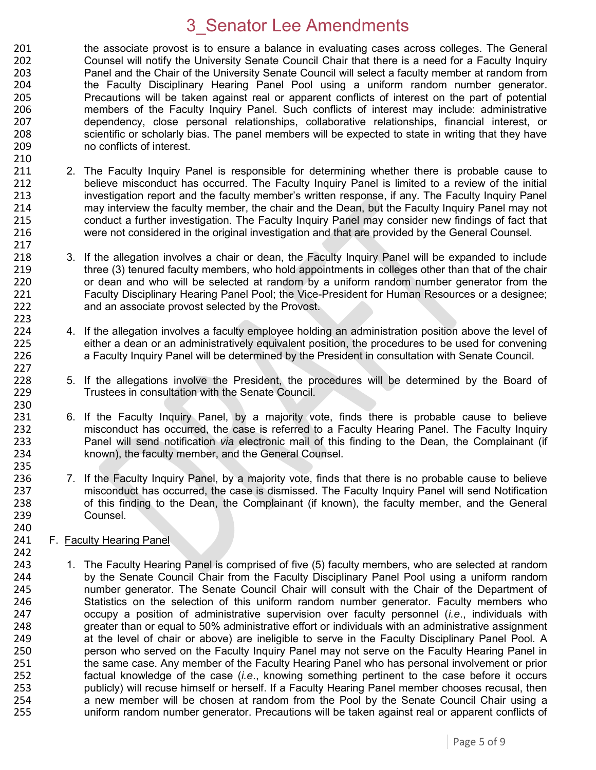201 the associate provost is to ensure a balance in evaluating cases across colleges. The General<br>202 Counsel will notify the University Senate Council Chair that there is a need for a Faculty Inquiry 202 Counsel will notify the University Senate Council Chair that there is a need for a Faculty Inquiry 203 Panel and the Chair of the University Senate Council will select a faculty member at random from 204 the Faculty Disciplinary Hearing Panel Pool using a uniform random number generator. 205 Precautions will be taken against real or apparent conflicts of interest on the part of potential 206 members of the Faculty Inquiry Panel. Such conflicts of interest may include: administrative 207 dependency, close personal relationships, collaborative relationships, financial interest, or 208 scientific or scholarly bias. The panel members will be expected to state in writing that they have 209 no conflicts of interest.

- 210 2. The Faculty Inquiry Panel is responsible for determining whether there is probable cause to 212 believe misconduct has occurred. The Faculty Inquiry Panel is limited to a review of the initial 213 investigation report and the faculty member's written response, if any. The Faculty Inquiry Panel<br>214 may interview the faculty member, the chair and the Dean, but the Faculty Inquiry Panel may not 214 may interview the faculty member, the chair and the Dean, but the Faculty Inquiry Panel may not<br>215 conduct a further investigation. The Faculty Inquiry Panel may consider new findings of fact that 215 conduct a further investigation. The Faculty Inquiry Panel may consider new findings of fact that<br>216 vere not considered in the original investigation and that are provided by the General Counsel. 216 were not considered in the original investigation and that are provided by the General Counsel.
- 3. If the allegation involves a chair or dean, the Faculty Inquiry Panel will be expanded to include 219 three (3) tenured faculty members, who hold appointments in colleges other than that of the chair 220 or dean and who will be selected at random by a uniform random number generator from the 221 Faculty Disciplinary Hearing Panel Pool; the Vice-President for Human Resources or a designee; 222 and an associate provost selected by the Provost.
- 224 4. If the allegation involves a faculty employee holding an administration position above the level of 225 either a dean or an administratively equivalent position, the procedures to be used for convening 225 either a dean or an administratively equivalent position, the procedures to be used for convening<br>226 **an a Faculty Inquiry Panel will be determined by the President in consultation with Senate Council.** a Faculty Inquiry Panel will be determined by the President in consultation with Senate Council.
- 228 5. If the allegations involve the President, the procedures will be determined by the Board of 229 Trustees in consultation with the Senate Council. Trustees in consultation with the Senate Council.
- 231 6. If the Faculty Inquiry Panel, by a majority vote, finds there is probable cause to believe<br>232 misconduct has occurred, the case is referred to a Faculty Hearing Panel. The Faculty Inquiry 232 misconduct has occurred, the case is referred to a Faculty Hearing Panel. The Faculty Inquiry 233 Panel will send notification *via* electronic mail of this finding to the Dean, the Complainant (if 234 known), the faculty member, and the General Counsel.
- 236 7. If the Faculty Inquiry Panel, by a majority vote, finds that there is no probable cause to believe 237 misconduct has occurred, the case is dismissed. The Faculty Inquiry Panel will send Notification<br>238 of this finding to the Dean, the Complainant (if known), the faculty member, and the General 238 of this finding to the Dean, the Complainant (if known), the faculty member, and the General 239 Counsel.
- 240<br>241 F. Faculty Hearing Panel.

217<br>218

223<br>224

227

230<br>231

235

242 1. The Faculty Hearing Panel is comprised of five (5) faculty members, who are selected at random 244 by the Senate Council Chair from the Faculty Disciplinary Panel Pool using a uniform random<br>245 humber generator. The Senate Council Chair will consult with the Chair of the Department of number generator. The Senate Council Chair will consult with the Chair of the Department of Statistics on the selection of this uniform random number generator. Faculty members who occupy a position of administrative supervision over faculty personnel (*i.e*., individuals with greater than or equal to 50% administrative effort or individuals with an administrative assignment at the level of chair or above) are ineligible to serve in the Faculty Disciplinary Panel Pool. A person who served on the Faculty Inquiry Panel may not serve on the Faculty Hearing Panel in the same case. Any member of the Faculty Hearing Panel who has personal involvement or prior factual knowledge of the case (*i.e*., knowing something pertinent to the case before it occurs 253 publicly) will recuse himself or herself. If a Faculty Hearing Panel member chooses recusal, then<br>254 anew member will be chosen at random from the Pool by the Senate Council Chair using a 254 a new member will be chosen at random from the Pool by the Senate Council Chair using a<br>255 uniform random number generator. Precautions will be taken against real or apparent conflicts of uniform random number generator. Precautions will be taken against real or apparent conflicts of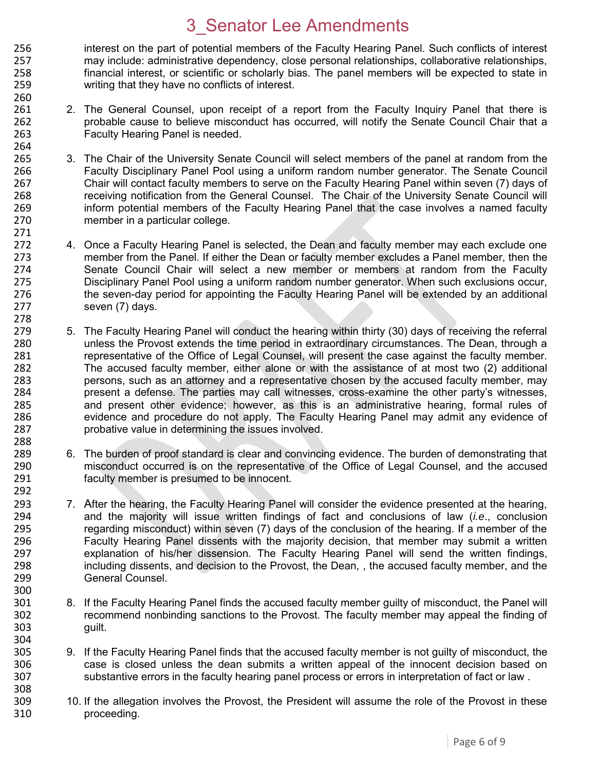256 interest on the part of potential members of the Faculty Hearing Panel. Such conflicts of interest 257 may include: administrative dependency, close personal relationships, collaborative relationships. may include: administrative dependency, close personal relationships, collaborative relationships, 258 financial interest, or scientific or scholarly bias. The panel members will be expected to state in 259 writing that they have no conflicts of interest. 260

- 261 2. The General Counsel, upon receipt of a report from the Faculty Inquiry Panel that there is 262 probable cause to believe misconduct has occurred, will notify the Senate Council Chair that a<br>263 **Example 263** Faculty Hearing Panel is needed. Faculty Hearing Panel is needed.
- 264<br>265 265 3. The Chair of the University Senate Council will select members of the panel at random from the<br>266 **19. Eaculty Disciplinary Panel Pool using a uniform random number generator. The Senate Council** Faculty Disciplinary Panel Pool using a uniform random number generator. The Senate Council 267 Chair will contact faculty members to serve on the Faculty Hearing Panel within seven (7) days of 268 receiving notification from the General Counsel. The Chair of the University Senate Council will<br>269 inform potential members of the Faculty Hearing Panel that the case involves a named faculty 269 inform potential members of the Faculty Hearing Panel that the case involves a named faculty<br>270 member in a particular college. member in a particular college.

271

288

292

- 272 4. Once a Faculty Hearing Panel is selected, the Dean and faculty member may each exclude one<br>273 member from the Panel. If either the Dean or faculty member excludes a Panel member, then the member from the Panel. If either the Dean or faculty member excludes a Panel member, then the 274 Senate Council Chair will select a new member or members at random from the Faculty 275 Disciplinary Panel Pool using a uniform random number generator. When such exclusions occur, 276 the seven-day period for appointing the Faculty Hearing Panel will be extended by an additional 277 seven (7) days.
- 278<br>279 279 5. The Faculty Hearing Panel will conduct the hearing within thirty (30) days of receiving the referral<br>280 The Dean, through a 280 unless the Provost extends the time period in extraordinary circumstances. The Dean, through a<br>281 entrepresentative of the Office of Legal Counsel, will present the case against the faculty member. representative of the Office of Legal Counsel, will present the case against the faculty member. 282 The accused faculty member, either alone or with the assistance of at most two (2) additional 283 persons, such as an attorney and a representative chosen by the accused faculty member, may 284 present a defense. The parties may call witnesses, cross-examine the other party's witnesses,<br>285 and present other evidence: however, as this is an administrative hearing, formal rules of 285 and present other evidence; however, as this is an administrative hearing, formal rules of 286 evidence and procedure do not apply. The Faculty Hearing Panel may admit any evidence of 286 evidence and procedure do not apply. The Faculty Hearing Panel may admit any evidence of 287 probative value in determining the issues involved.
- 289 6. The burden of proof standard is clear and convincing evidence. The burden of demonstrating that 290 misconduct occurred is on the representative of the Office of Legal Counsel, and the accused 291 faculty member is presumed to be innocent.
- 293 7. After the hearing, the Faculty Hearing Panel will consider the evidence presented at the hearing, 294 and the majority will issue written findings of fact and conclusions of law (*i.e*., conclusion 295 regarding misconduct) within seven (7) days of the conclusion of the hearing. If a member of the 296 contra<br>296 **Faculty Hearing Panel dissents with the maiority decision**, that member may submit a written 296 Faculty Hearing Panel dissents with the majority decision, that member may submit a written<br>297 explanation of his/her dissension. The Faculty Hearing Panel will send the written findings. explanation of his/her dissension. The Faculty Hearing Panel will send the written findings, 298 including dissents, and decision to the Provost, the Dean, , the accused faculty member, and the 299 General Counsel. 300<br>301
- 8. If the Faculty Hearing Panel finds the accused faculty member guilty of misconduct, the Panel will 302 recommend nonbinding sanctions to the Provost. The faculty member may appeal the finding of 303 guilt.
- 304<br>305 305 9. If the Faculty Hearing Panel finds that the accused faculty member is not guilty of misconduct, the 306<br>306 secase is closed unless the dean submits a written appeal of the innocent decision based on 306 case is closed unless the dean submits a written appeal of the innocent decision based on<br>307 substantive errors in the faculty hearing panel process or errors in interpretation of fact or law. substantive errors in the faculty hearing panel process or errors in interpretation of fact or law. 308
- 309 10. If the allegation involves the Provost, the President will assume the role of the Provost in these 310 proceeding.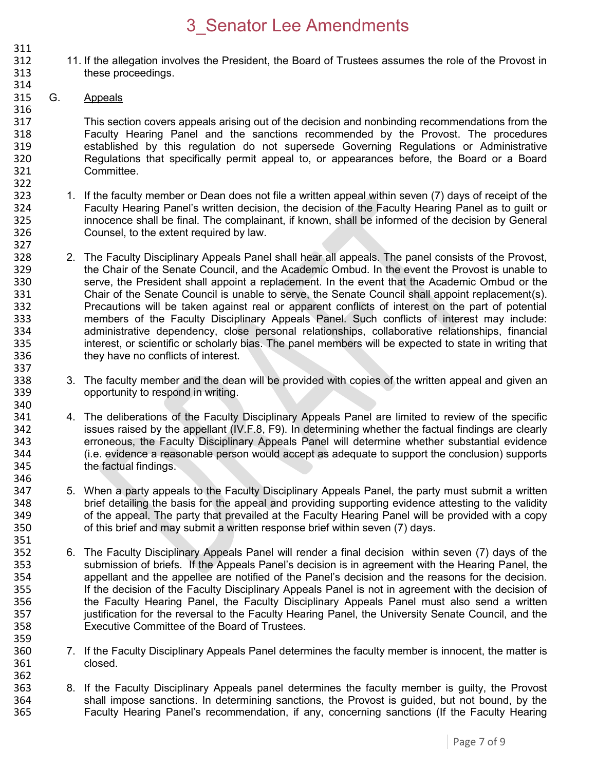- 311<br>312 312 11. If the allegation involves the President, the Board of Trustees assumes the role of the Provost in 313 these proceedings.
- 315 G. Appeals

314

322

346

351

359

316 317 This section covers appeals arising out of the decision and nonbinding recommendations from the<br>318 Faculty Hearing Panel and the sanctions recommended by the Provost. The procedures 318 Faculty Hearing Panel and the sanctions recommended by the Provost. The procedures<br>319 established by this requiation do not supersede Governing Requiations or Administrative 319 established by this regulation do not supersede Governing Regulations or Administrative 320 Regulations that specifically permit appeal to, or appearances before, the Board or a Board 321 Committee.

- 1. If the faculty member or Dean does not file a written appeal within seven (7) days of receipt of the<br>324 Faculty Hearing Panel's written decision, the decision of the Faculty Hearing Panel as to quilt or 324 Faculty Hearing Panel's written decision, the decision of the Faculty Hearing Panel as to guilt or<br>325 innocence shall be final. The complainant, if known, shall be informed of the decision by General 325 innocence shall be final. The complainant, if known, shall be informed of the decision by General<br>326 Counsel, to the extent required by law. Counsel, to the extent required by law.
- 327<br>328 2. The Faculty Disciplinary Appeals Panel shall hear all appeals. The panel consists of the Provost, 329 the Chair of the Senate Council, and the Academic Ombud. In the event the Provost is unable to 330 serve, the President shall appoint a replacement. In the event that the Academic Ombud or the 331 Chair of the Senate Council is unable to serve, the Senate Council shall appoint replacement(s). 332 Precautions will be taken against real or apparent conflicts of interest on the part of potential 333 members of the Faculty Disciplinary Appeals Panel. Such conflicts of interest may include:<br>334 administrative dependency, close personal relationships, collaborative relationships, financial 334 administrative dependency, close personal relationships, collaborative relationships, financial<br>335 interest, or scientific or scholarly bias. The panel members will be expected to state in writing that 335 interest, or scientific or scholarly bias. The panel members will be expected to state in writing that 336 they have no conflicts of interest. 337
- 338 3. The faculty member and the dean will be provided with copies of the written appeal and given an 339 opportunity to respond in writing.
- 340<br>341 341 4. The deliberations of the Faculty Disciplinary Appeals Panel are limited to review of the specific<br>342 issues raised by the appellant (IV.F.8, F9). In determining whether the factual findings are clearly issues raised by the appellant  $(IV.F.8, F9)$ . In determining whether the factual findings are clearly 343 erroneous, the Faculty Disciplinary Appeals Panel will determine whether substantial evidence 344 (i.e. evidence a reasonable person would accept as adequate to support the conclusion) supports 345 the factual findings.
- 347 5. When a party appeals to the Faculty Disciplinary Appeals Panel, the party must submit a written 348 brief detailing the basis for the appeal and providing supporting evidence attesting to the validity<br>349 of the appeal. The party that prevailed at the Faculty Hearing Panel will be provided with a copy 349 of the appeal. The party that prevailed at the Faculty Hearing Panel will be provided with a copy<br>350 of this brief and may submit a written response brief within seven (7) days. of this brief and may submit a written response brief within seven (7) days.
- 352 6. The Faculty Disciplinary Appeals Panel will render a final decision within seven (7) days of the 353 submission of briefs. If the Appeals Panel's decision is in agreement with the Hearing Panel, the 354 appellant and the appellee are notified of the Panel's decision and the reasons for the decision.<br>355 **1980 If the decision of the Faculty Disciplinary Appeals Panel is not in agreement with the decision of** If the decision of the Faculty Disciplinary Appeals Panel is not in agreement with the decision of 356 the Faculty Hearing Panel, the Faculty Disciplinary Appeals Panel must also send a written 357 justification for the reversal to the Faculty Hearing Panel, the University Senate Council, and the 358 Executive Committee of the Board of Trustees.
- 360 7. If the Faculty Disciplinary Appeals Panel determines the faculty member is innocent, the matter is 361 closed. 362
- 363 8. If the Faculty Disciplinary Appeals panel determines the faculty member is guilty, the Provost 364 shall impose sanctions. In determining sanctions, the Provost is quided, but not bound, by the 364 shall impose sanctions. In determining sanctions, the Provost is guided, but not bound, by the 365 Shall impose sanctions. In determining sanctions, the Faculty Hearing Faculty Hearing Panel's recommendation, if any, concerning sanctions (If the Faculty Hearing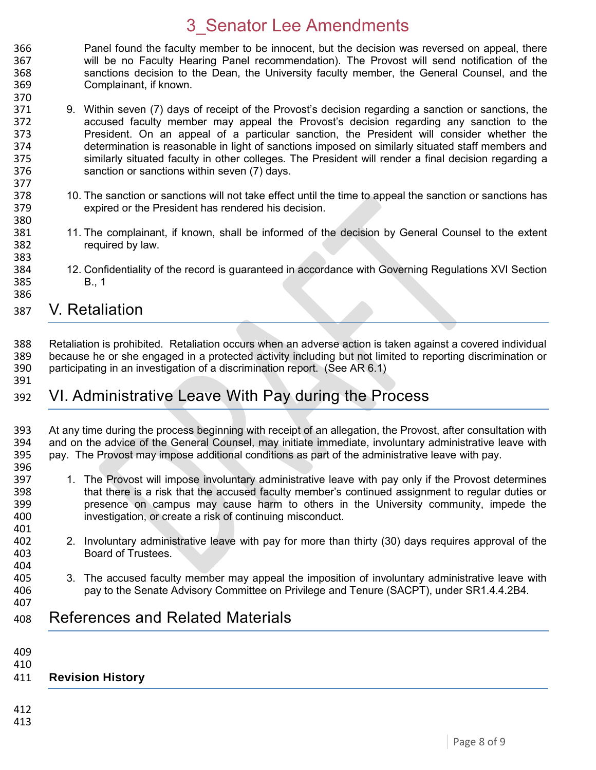- 366 Panel found the faculty member to be innocent, but the decision was reversed on appeal, there<br>367 will be no Faculty Hearing Panel recommendation). The Provost will send notification of the will be no Faculty Hearing Panel recommendation). The Provost will send notification of the 368 sanctions decision to the Dean, the University faculty member, the General Counsel, and the 369 Complainant, if known.
- 371 9. Within seven (7) days of receipt of the Provost's decision regarding a sanction or sanctions, the 372 accused faculty member may appeal the Provost's decision regarding any sanction to the President. On an appeal of a particular sanction, the President will consider whether the 374 determination is reasonable in light of sanctions imposed on similarly situated staff members and 375 similarly situated faculty in other colleges. The President will render a final decision regarding a sanction or sanctions within seven (7) days. sanction or sanctions within seven (7) days.
- 378 10. The sanction or sanctions will not take effect until the time to appeal the sanction or sanctions has<br>379 expired or the President has rendered his decision. expired or the President has rendered his decision.
- 11. The complainant, if known, shall be informed of the decision by General Counsel to the extent 382 required by law.
- 384 12. Confidentiality of the record is guaranteed in accordance with Governing Regulations XVI Section 385 B., 1
- 387 V. Retaliation
- 388 Retaliation is prohibited. Retaliation occurs when an adverse action is taken against a covered individual 389 because he or she engaged in a protected activity including but not limited to reporting discrimination or<br>390 participating in an investigation of a discrimination report. (See AR 6.1) participating in an investigation of a discrimination report. (See AR 6.1)
- 391

396

370

377

380<br>381

383

386

### 392 VI. Administrative Leave With Pay during the Process

393 At any time during the process beginning with receipt of an allegation, the Provost, after consultation with 394 and on the advice of the General Counsel, may initiate immediate, involuntary administrative leave with 395<br>395 pay, The Provost may impose additional conditions as part of the administrative leave with pay. pay. The Provost may impose additional conditions as part of the administrative leave with pay.

- 397 1. The Provost will impose involuntary administrative leave with pay only if the Provost determines<br>398 that there is a risk that the accused faculty member's continued assignment to regular duties or that there is a risk that the accused faculty member's continued assignment to regular duties or 399 presence on campus may cause harm to others in the University community, impede the 400 investigation, or create a risk of continuing misconduct.
- 401<br>402 402 2. Involuntary administrative leave with pay for more than thirty (30) days requires approval of the 403 Board of Trustees.
- 405 3. The accused faculty member may appeal the imposition of involuntary administrative leave with 406 pay to the Senate Advisory Committee on Privilege and Tenure (SACPT), under SR1.4.4.2B4.
- 408 References and Related Materials
- 409

404

407

410

#### 411 **Revision History**

412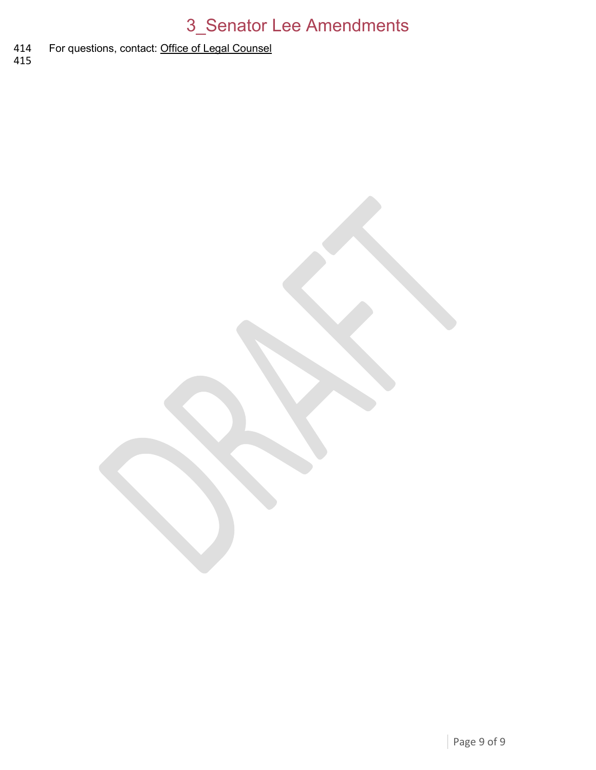#### For questions, contact: [Office of Legal Counsel](mailto:LegalRegs@uky.edu) 414<br>415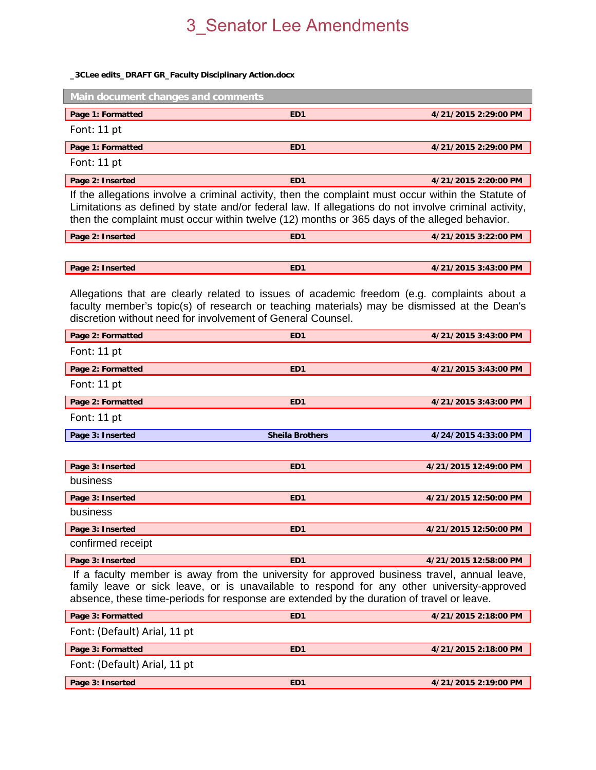#### **\_3CLee edits\_DRAFT GR\_Faculty Disciplinary Action.docx**

| Main document changes and comments                                                                  |                 |                      |  |  |  |  |  |
|-----------------------------------------------------------------------------------------------------|-----------------|----------------------|--|--|--|--|--|
| Page 1: Formatted                                                                                   | ED <sub>1</sub> | 4/21/2015 2:29:00 PM |  |  |  |  |  |
| Font: 11 pt                                                                                         |                 |                      |  |  |  |  |  |
| Page 1: Formatted                                                                                   | ED <sub>1</sub> | 4/21/2015 2:29:00 PM |  |  |  |  |  |
| Font: $11$ pt                                                                                       |                 |                      |  |  |  |  |  |
| Page 2: Inserted                                                                                    | ED <sub>1</sub> | 4/21/2015 2:20:00 PM |  |  |  |  |  |
| If the allegations involve a criminal activity, then the complaint must occur within the Statute of |                 |                      |  |  |  |  |  |

Limitations as defined by state and/or federal law. If allegations do not involve criminal activity, then the complaint must occur within twelve (12) months or 365 days of the alleged behavior.

| Page 2: Inserted | ED1 | 4/21/2015 3:22:00 PM |
|------------------|-----|----------------------|
|                  |     |                      |
|                  | FD1 |                      |
| Page 2: Inserted |     | 4/21/2015 3:43:00 PM |

Allegations that are clearly related to issues of academic freedom (e.g. complaints about a faculty member's topic(s) of research or teaching materials) may be dismissed at the Dean's discretion without need for involvement of General Counsel.

| Page 2: Formatted                                                                              | ED <sub>1</sub>        | 4/21/2015 3:43:00 PM  |  |  |
|------------------------------------------------------------------------------------------------|------------------------|-----------------------|--|--|
| Font: 11 pt                                                                                    |                        |                       |  |  |
| Page 2: Formatted                                                                              | ED <sub>1</sub>        | 4/21/2015 3:43:00 PM  |  |  |
| Font: 11 pt                                                                                    |                        |                       |  |  |
| Page 2: Formatted                                                                              | ED <sub>1</sub>        | 4/21/2015 3:43:00 PM  |  |  |
| Font: 11 pt                                                                                    |                        |                       |  |  |
| Page 3: Inserted                                                                               | <b>Sheila Brothers</b> | 4/24/2015 4:33:00 PM  |  |  |
|                                                                                                |                        |                       |  |  |
| Page 3: Inserted                                                                               | ED <sub>1</sub>        | 4/21/2015 12:49:00 PM |  |  |
| business                                                                                       |                        |                       |  |  |
| Page 3: Inserted                                                                               | ED <sub>1</sub>        | 4/21/2015 12:50:00 PM |  |  |
| business                                                                                       |                        |                       |  |  |
| Page 3: Inserted                                                                               | ED <sub>1</sub>        | 4/21/2015 12:50:00 PM |  |  |
| confirmed receipt                                                                              |                        |                       |  |  |
| Page 3: Inserted                                                                               | ED <sub>1</sub>        | 4/21/2015 12:58:00 PM |  |  |
| If a faculty means in our from the university for approximately increased travel approximately |                        |                       |  |  |

 If a faculty member is away from the university for approved business travel, annual leave, family leave or sick leave, or is unavailable to respond for any other university-approved absence, these time-periods for response are extended by the duration of travel or leave.

| Page 3: Formatted            | ED <sub>1</sub> | 4/21/2015 2:18:00 PM |  |  |  |  |
|------------------------------|-----------------|----------------------|--|--|--|--|
| Font: (Default) Arial, 11 pt |                 |                      |  |  |  |  |
| Page 3: Formatted            | ED <sub>1</sub> | 4/21/2015 2:18:00 PM |  |  |  |  |
| Font: (Default) Arial, 11 pt |                 |                      |  |  |  |  |
| Page 3: Inserted             | ED <sub>1</sub> | 4/21/2015 2:19:00 PM |  |  |  |  |